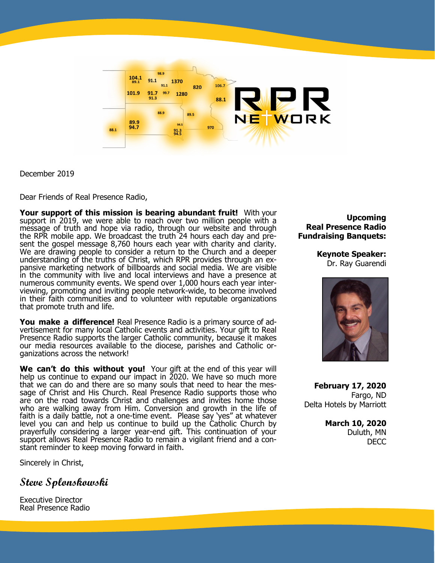

December 2019

Dear Friends of Real Presence Radio,

**Your support of this mission is bearing abundant fruit!** With your support in 2019, we were able to reach over two million people with a message of truth and hope via radio, through our website and through the RPR mobile app. We broadcast the truth 24 hours each day and present the gospel message 8,760 hours each year with charity and clarity. We are drawing people to consider a return to the Church and a deeper understanding of the truths of Christ, which RPR provides through an expansive marketing network of billboards and social media. We are visible in the community with live and local interviews and have a presence at numerous community events. We spend over 1,000 hours each year interviewing, promoting and inviting people network-wide, to become involved in their faith communities and to volunteer with reputable organizations that promote truth and life.

**You make a difference!** Real Presence Radio is a primary source of advertisement for many local Catholic events and activities. Your gift to Real Presence Radio supports the larger Catholic community, because it makes our media resources available to the diocese, parishes and Catholic organizations across the network!

**We can't do this without you!** Your gift at the end of this year will help us continue to expand our impact in 2020. We have so much more that we can do and there are so many souls that need to hear the message of Christ and His Church. Real Presence Radio supports those who are on the road towards Christ and challenges and invites home those who are walking away from Him. Conversion and growth in the life of faith is a daily battle, not a one-time event. Please say 'yes" at whatever level you can and help us continue to build up the Catholic Church by prayerfully considering a larger year-end gift. This continuation of your support allows Real Presence Radio to remain a vigilant friend and a constant reminder to keep moving forward in faith.

Sincerely in Christ,

**Steve Splonskowski**

Executive Director Real Presence Radio

**Upcoming Real Presence Radio Fundraising Banquets:**

> **Keynote Speaker:** Dr. Ray Guarendi



**February 17, 2020** Fargo, ND Delta Hotels by Marriott

> **March 10, 2020** Duluth, MN DECC